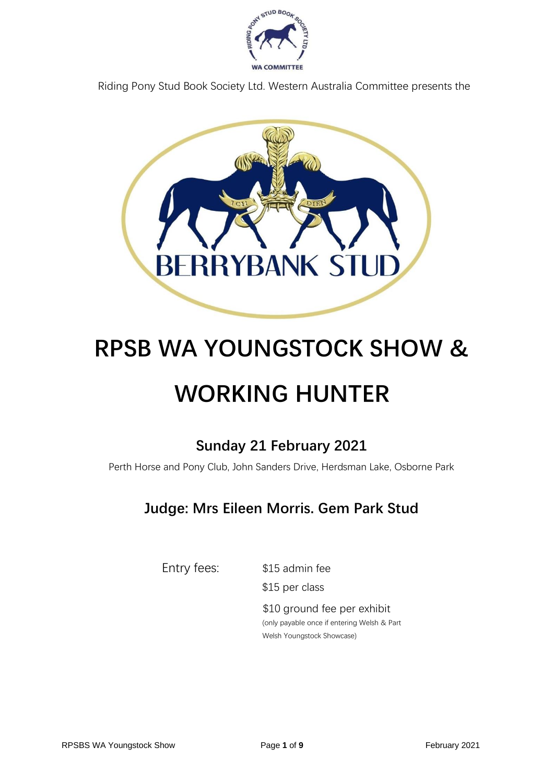

Riding Pony Stud Book Society Ltd. Western Australia Committee presents the



# **RPSB WA YOUNGSTOCK SHOW & WORKING HUNTER**

# **Sunday 21 February 2021**

Perth Horse and Pony Club, John Sanders Drive, Herdsman Lake, Osborne Park

# **Judge: Mrs Eileen Morris. Gem Park Stud**

Entry fees: \$15 admin fee

\$15 per class

\$10 ground fee per exhibit (only payable once if entering Welsh & Part Welsh Youngstock Showcase)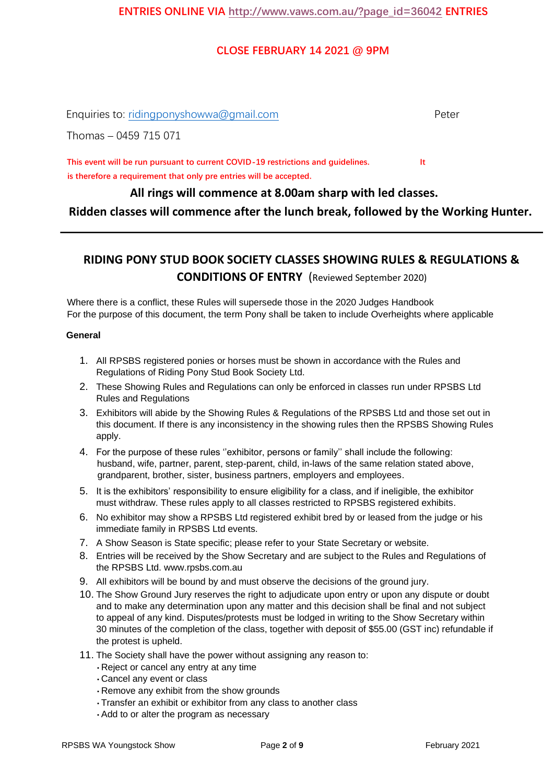#### **CLOSE FEBRUARY 14 2021 @ 9PM**

Enquiries to: ridingponyshowwa@gmail.com entitled and the peter

Thomas – 0459 715 071

**This event will be run pursuant to current COVID-19 restrictions and guidelines. It is therefore a requirement that only pre entries will be accepted.**

**All rings will commence at 8.00am sharp with led classes.**

**Ridden classes will commence after the lunch break, followed by the Working Hunter.**

### **RIDING PONY STUD BOOK SOCIETY CLASSES SHOWING RULES & REGULATIONS & CONDITIONS OF ENTRY** (Reviewed September 2020)

Where there is a conflict, these Rules will supersede those in the 2020 Judges Handbook For the purpose of this document, the term Pony shall be taken to include Overheights where applicable

#### **General**

- 1. All RPSBS registered ponies or horses must be shown in accordance with the Rules and Regulations of Riding Pony Stud Book Society Ltd.
- 2. These Showing Rules and Regulations can only be enforced in classes run under RPSBS Ltd Rules and Regulations
- 3. Exhibitors will abide by the Showing Rules & Regulations of the RPSBS Ltd and those set out in this document. If there is any inconsistency in the showing rules then the RPSBS Showing Rules apply.
- 4. For the purpose of these rules ''exhibitor, persons or family'' shall include the following: husband, wife, partner, parent, step-parent, child, in-laws of the same relation stated above, grandparent, brother, sister, business partners, employers and employees.
- 5. It is the exhibitors' responsibility to ensure eligibility for a class, and if ineligible, the exhibitor must withdraw. These rules apply to all classes restricted to RPSBS registered exhibits.
- 6. No exhibitor may show a RPSBS Ltd registered exhibit bred by or leased from the judge or his immediate family in RPSBS Ltd events.
- 7. A Show Season is State specific; please refer to your State Secretary or website.
- 8. Entries will be received by the Show Secretary and are subject to the Rules and Regulations of the RPSBS Ltd. [www.rpsbs.com.au](http://www.rpsbs.com.au/)
- 9. All exhibitors will be bound by and must observe the decisions of the ground jury.
- 10. The Show Ground Jury reserves the right to adjudicate upon entry or upon any dispute or doubt and to make any determination upon any matter and this decision shall be final and not subject to appeal of any kind. Disputes/protests must be lodged in writing to the Show Secretary within 30 minutes of the completion of the class, together with deposit of \$55.00 (GST inc) refundable if the protest is upheld.
- 11. The Society shall have the power without assigning any reason to:
	- Reject or cancel any entry at any time
	- Cancel any event or class
	- Remove any exhibit from the show grounds
	- Transfer an exhibit or exhibitor from any class to another class
	- Add to or alter the program as necessary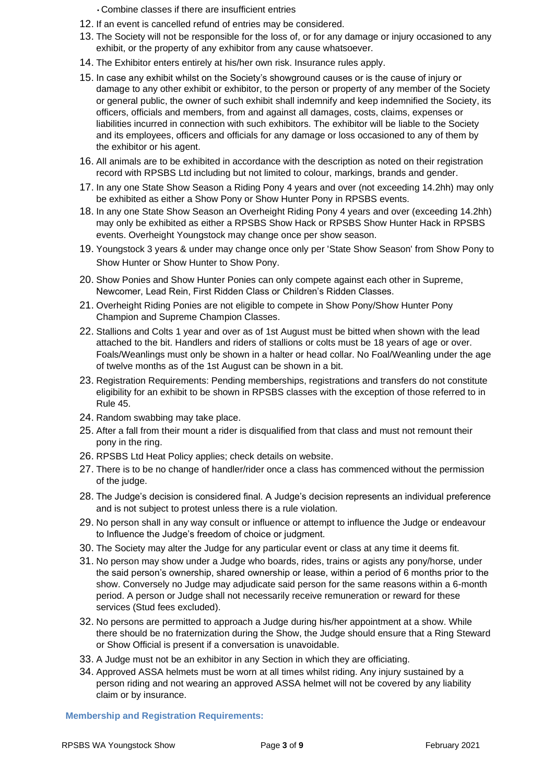• Combine classes if there are insufficient entries

- 12. If an event is cancelled refund of entries may be considered.
- 13. The Society will not be responsible for the loss of, or for any damage or injury occasioned to any exhibit, or the property of any exhibitor from any cause whatsoever.
- 14. The Exhibitor enters entirely at his/her own risk. Insurance rules apply.
- 15. In case any exhibit whilst on the Society's showground causes or is the cause of injury or damage to any other exhibit or exhibitor, to the person or property of any member of the Society or general public, the owner of such exhibit shall indemnify and keep indemnified the Society, its officers, officials and members, from and against all damages, costs, claims, expenses or liabilities incurred in connection with such exhibitors. The exhibitor will be liable to the Society and its employees, officers and officials for any damage or loss occasioned to any of them by the exhibitor or his agent.
- 16. All animals are to be exhibited in accordance with the description as noted on their registration record with RPSBS Ltd including but not limited to colour, markings, brands and gender.
- 17. In any one State Show Season a Riding Pony 4 years and over (not exceeding 14.2hh) may only be exhibited as either a Show Pony or Show Hunter Pony in RPSBS events.
- 18. In any one State Show Season an Overheight Riding Pony 4 years and over (exceeding 14.2hh) may only be exhibited as either a RPSBS Show Hack or RPSBS Show Hunter Hack in RPSBS events. Overheight Youngstock may change once per show season.
- 19. Youngstock 3 years & under may change once only per 'State Show Season' from Show Pony to Show Hunter or Show Hunter to Show Pony.
- 20. Show Ponies and Show Hunter Ponies can only compete against each other in Supreme, Newcomer, Lead Rein, First Ridden Class or Children's Ridden Classes.
- 21. Overheight Riding Ponies are not eligible to compete in Show Pony/Show Hunter Pony Champion and Supreme Champion Classes.
- 22. Stallions and Colts 1 year and over as of 1st August must be bitted when shown with the lead attached to the bit. Handlers and riders of stallions or colts must be 18 years of age or over. Foals/Weanlings must only be shown in a halter or head collar. No Foal/Weanling under the age of twelve months as of the 1st August can be shown in a bit.
- 23. Registration Requirements: Pending memberships, registrations and transfers do not constitute eligibility for an exhibit to be shown in RPSBS classes with the exception of those referred to in Rule 45.
- 24. Random swabbing may take place.
- 25. After a fall from their mount a rider is disqualified from that class and must not remount their pony in the ring.
- 26. RPSBS Ltd Heat Policy applies; check details on website.
- 27. There is to be no change of handler/rider once a class has commenced without the permission of the judge.
- 28. The Judge's decision is considered final. A Judge's decision represents an individual preference and is not subject to protest unless there is a rule violation.
- 29. No person shall in any way consult or influence or attempt to influence the Judge or endeavour to Influence the Judge's freedom of choice or judgment.
- 30. The Society may alter the Judge for any particular event or class at any time it deems fit.
- 31. No person may show under a Judge who boards, rides, trains or agists any pony/horse, under the said person's ownership, shared ownership or lease, within a period of 6 months prior to the show. Conversely no Judge may adjudicate said person for the same reasons within a 6-month period. A person or Judge shall not necessarily receive remuneration or reward for these services (Stud fees excluded).
- 32. No persons are permitted to approach a Judge during his/her appointment at a show. While there should be no fraternization during the Show, the Judge should ensure that a Ring Steward or Show Official is present if a conversation is unavoidable.
- 33. A Judge must not be an exhibitor in any Section in which they are officiating.
- 34. Approved ASSA helmets must be worn at all times whilst riding. Any injury sustained by a person riding and not wearing an approved ASSA helmet will not be covered by any liability claim or by insurance.

**Membership and Registration Requirements:**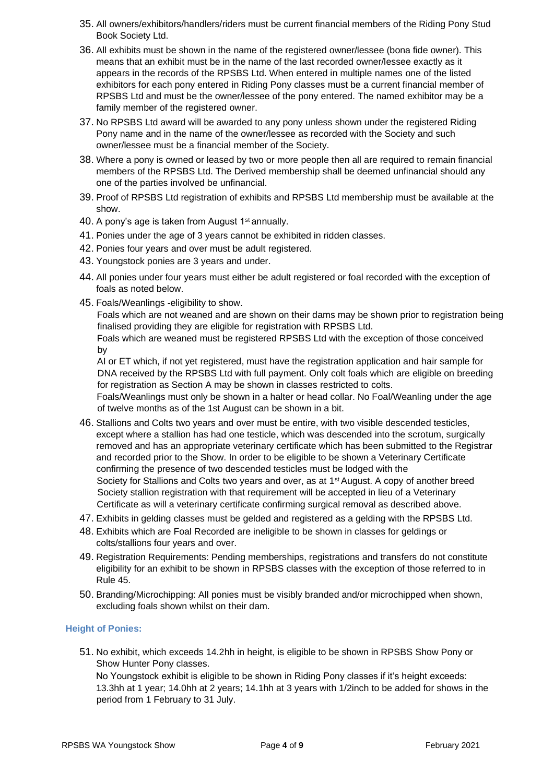- 35. All owners/exhibitors/handlers/riders must be current financial members of the Riding Pony Stud Book Society Ltd.
- 36. All exhibits must be shown in the name of the registered owner/lessee (bona fide owner). This means that an exhibit must be in the name of the last recorded owner/lessee exactly as it appears in the records of the RPSBS Ltd. When entered in multiple names one of the listed exhibitors for each pony entered in Riding Pony classes must be a current financial member of RPSBS Ltd and must be the owner/lessee of the pony entered. The named exhibitor may be a family member of the registered owner.
- 37. No RPSBS Ltd award will be awarded to any pony unless shown under the registered Riding Pony name and in the name of the owner/lessee as recorded with the Society and such owner/lessee must be a financial member of the Society.
- 38. Where a pony is owned or leased by two or more people then all are required to remain financial members of the RPSBS Ltd. The Derived membership shall be deemed unfinancial should any one of the parties involved be unfinancial.
- 39. Proof of RPSBS Ltd registration of exhibits and RPSBS Ltd membership must be available at the show.
- 40. A pony's age is taken from August 1<sup>st</sup> annually.
- 41. Ponies under the age of 3 years cannot be exhibited in ridden classes.
- 42. Ponies four years and over must be adult registered.
- 43. Youngstock ponies are 3 years and under.
- 44. All ponies under four years must either be adult registered or foal recorded with the exception of foals as noted below.
- 45. Foals/Weanlings -eligibility to show.

Foals which are not weaned and are shown on their dams may be shown prior to registration being finalised providing they are eligible for registration with RPSBS Ltd.

Foals which are weaned must be registered RPSBS Ltd with the exception of those conceived by

AI or ET which, if not yet registered, must have the registration application and hair sample for DNA received by the RPSBS Ltd with full payment. Only colt foals which are eligible on breeding for registration as Section A may be shown in classes restricted to colts.

Foals/Weanlings must only be shown in a halter or head collar. No Foal/Weanling under the age of twelve months as of the 1st August can be shown in a bit.

- 46. Stallions and Colts two years and over must be entire, with two visible descended testicles, except where a stallion has had one testicle, which was descended into the scrotum, surgically removed and has an appropriate veterinary certificate which has been submitted to the Registrar and recorded prior to the Show. In order to be eligible to be shown a Veterinary Certificate confirming the presence of two descended testicles must be lodged with the Society for Stallions and Colts two years and over, as at  $1<sup>st</sup>$  August. A copy of another breed Society stallion registration with that requirement will be accepted in lieu of a Veterinary Certificate as will a veterinary certificate confirming surgical removal as described above.
- 47. Exhibits in gelding classes must be gelded and registered as a gelding with the RPSBS Ltd.
- 48. Exhibits which are Foal Recorded are ineligible to be shown in classes for geldings or colts/stallions four years and over.
- 49. Registration Requirements: Pending memberships, registrations and transfers do not constitute eligibility for an exhibit to be shown in RPSBS classes with the exception of those referred to in Rule 45.
- 50. Branding/Microchipping: All ponies must be visibly branded and/or microchipped when shown, excluding foals shown whilst on their dam.

#### **Height of Ponies:**

51. No exhibit, which exceeds 14.2hh in height, is eligible to be shown in RPSBS Show Pony or Show Hunter Pony classes.

No Youngstock exhibit is eligible to be shown in Riding Pony classes if it's height exceeds: 13.3hh at 1 year; 14.0hh at 2 years; 14.1hh at 3 years with 1/2inch to be added for shows in the period from 1 February to 31 July.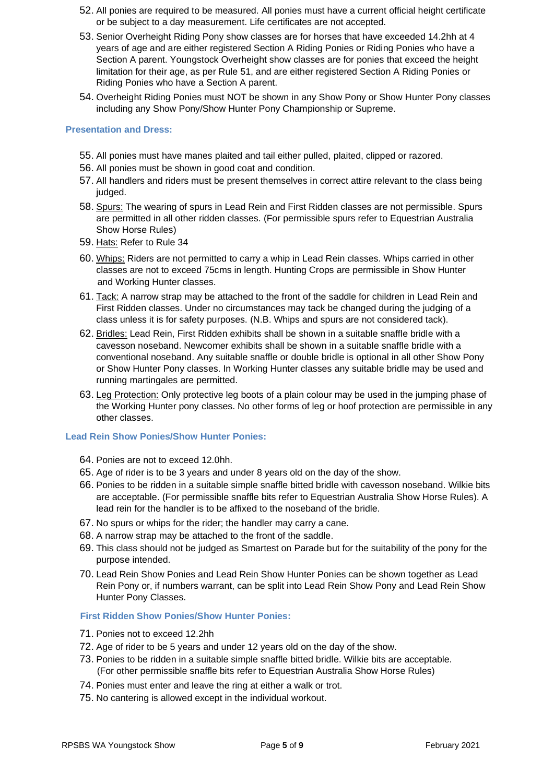- 52. All ponies are required to be measured. All ponies must have a current official height certificate or be subject to a day measurement. Life certificates are not accepted.
- 53. Senior Overheight Riding Pony show classes are for horses that have exceeded 14.2hh at 4 years of age and are either registered Section A Riding Ponies or Riding Ponies who have a Section A parent. Youngstock Overheight show classes are for ponies that exceed the height limitation for their age, as per Rule 51, and are either registered Section A Riding Ponies or Riding Ponies who have a Section A parent.
- 54. Overheight Riding Ponies must NOT be shown in any Show Pony or Show Hunter Pony classes including any Show Pony/Show Hunter Pony Championship or Supreme.

#### **Presentation and Dress:**

- 55. All ponies must have manes plaited and tail either pulled, plaited, clipped or razored.
- 56. All ponies must be shown in good coat and condition.
- 57. All handlers and riders must be present themselves in correct attire relevant to the class being judged.
- 58. Spurs: The wearing of spurs in Lead Rein and First Ridden classes are not permissible. Spurs are permitted in all other ridden classes. (For permissible spurs refer to Equestrian Australia Show Horse Rules)
- 59. Hats: Refer to Rule 34
- 60. Whips: Riders are not permitted to carry a whip in Lead Rein classes. Whips carried in other classes are not to exceed 75cms in length. Hunting Crops are permissible in Show Hunter and Working Hunter classes.
- 61. Tack: A narrow strap may be attached to the front of the saddle for children in Lead Rein and First Ridden classes. Under no circumstances may tack be changed during the judging of a class unless it is for safety purposes. (N.B. Whips and spurs are not considered tack).
- 62. Bridles: Lead Rein, First Ridden exhibits shall be shown in a suitable snaffle bridle with a cavesson noseband. Newcomer exhibits shall be shown in a suitable snaffle bridle with a conventional noseband. Any suitable snaffle or double bridle is optional in all other Show Pony or Show Hunter Pony classes. In Working Hunter classes any suitable bridle may be used and running martingales are permitted.
- 63. Leg Protection: Only protective leg boots of a plain colour may be used in the jumping phase of the Working Hunter pony classes. No other forms of leg or hoof protection are permissible in any other classes.

#### **Lead Rein Show Ponies/Show Hunter Ponies:**

- 64. Ponies are not to exceed 12.0hh.
- 65. Age of rider is to be 3 years and under 8 years old on the day of the show.
- 66. Ponies to be ridden in a suitable simple snaffle bitted bridle with cavesson noseband. Wilkie bits are acceptable. (For permissible snaffle bits refer to Equestrian Australia Show Horse Rules). A lead rein for the handler is to be affixed to the noseband of the bridle.
- 67. No spurs or whips for the rider; the handler may carry a cane.
- 68. A narrow strap may be attached to the front of the saddle.
- 69. This class should not be judged as Smartest on Parade but for the suitability of the pony for the purpose intended.
- 70. Lead Rein Show Ponies and Lead Rein Show Hunter Ponies can be shown together as Lead Rein Pony or, if numbers warrant, can be split into Lead Rein Show Pony and Lead Rein Show Hunter Pony Classes.

#### **First Ridden Show Ponies/Show Hunter Ponies:**

- 71. Ponies not to exceed 12.2hh
- 72. Age of rider to be 5 years and under 12 years old on the day of the show.
- 73. Ponies to be ridden in a suitable simple snaffle bitted bridle. Wilkie bits are acceptable. (For other permissible snaffle bits refer to Equestrian Australia Show Horse Rules)
- 74. Ponies must enter and leave the ring at either a walk or trot.
- 75. No cantering is allowed except in the individual workout.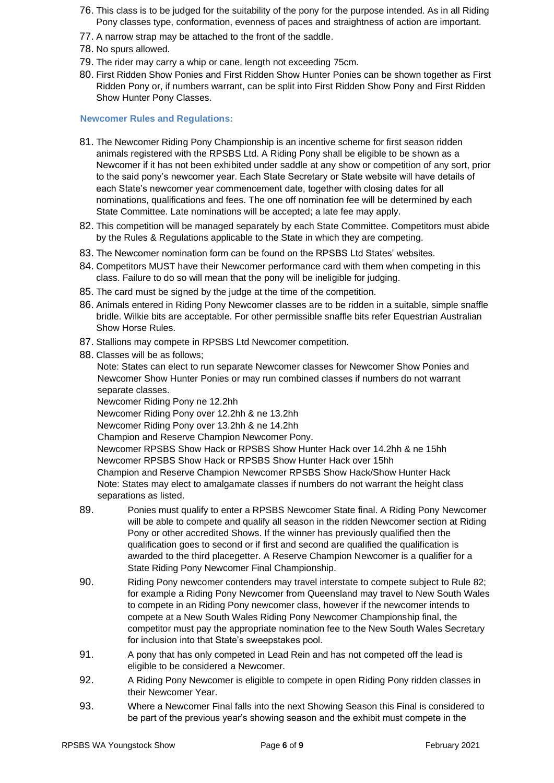- 76. This class is to be judged for the suitability of the pony for the purpose intended. As in all Riding Pony classes type, conformation, evenness of paces and straightness of action are important.
- 77. A narrow strap may be attached to the front of the saddle.
- 78. No spurs allowed.
- 79. The rider may carry a whip or cane, length not exceeding 75cm.
- 80. First Ridden Show Ponies and First Ridden Show Hunter Ponies can be shown together as First Ridden Pony or, if numbers warrant, can be split into First Ridden Show Pony and First Ridden Show Hunter Pony Classes.

#### **Newcomer Rules and Regulations:**

- 81. The Newcomer Riding Pony Championship is an incentive scheme for first season ridden animals registered with the RPSBS Ltd. A Riding Pony shall be eligible to be shown as a Newcomer if it has not been exhibited under saddle at any show or competition of any sort, prior to the said pony's newcomer year. Each State Secretary or State website will have details of each State's newcomer year commencement date, together with closing dates for all nominations, qualifications and fees. The one off nomination fee will be determined by each State Committee. Late nominations will be accepted; a late fee may apply.
- 82. This competition will be managed separately by each State Committee. Competitors must abide by the Rules & Regulations applicable to the State in which they are competing.
- 83. The Newcomer nomination form can be found on the RPSBS Ltd States' websites.
- 84. Competitors MUST have their Newcomer performance card with them when competing in this class. Failure to do so will mean that the pony will be ineligible for judging.
- 85. The card must be signed by the judge at the time of the competition.
- 86. Animals entered in Riding Pony Newcomer classes are to be ridden in a suitable, simple snaffle bridle. Wilkie bits are acceptable. For other permissible snaffle bits refer Equestrian Australian Show Horse Rules.
- 87. Stallions may compete in RPSBS Ltd Newcomer competition.
- 88. Classes will be as follows;

Note: States can elect to run separate Newcomer classes for Newcomer Show Ponies and Newcomer Show Hunter Ponies or may run combined classes if numbers do not warrant separate classes.

Newcomer Riding Pony ne 12.2hh

Newcomer Riding Pony over 12.2hh & ne 13.2hh

- Newcomer Riding Pony over 13.2hh & ne 14.2hh
- Champion and Reserve Champion Newcomer Pony.

Newcomer RPSBS Show Hack or RPSBS Show Hunter Hack over 14.2hh & ne 15hh Newcomer RPSBS Show Hack or RPSBS Show Hunter Hack over 15hh Champion and Reserve Champion Newcomer RPSBS Show Hack/Show Hunter Hack Note: States may elect to amalgamate classes if numbers do not warrant the height class separations as listed.

- 89. Ponies must qualify to enter a RPSBS Newcomer State final. A Riding Pony Newcomer will be able to compete and qualify all season in the ridden Newcomer section at Riding Pony or other accredited Shows. If the winner has previously qualified then the qualification goes to second or if first and second are qualified the qualification is awarded to the third placegetter. A Reserve Champion Newcomer is a qualifier for a State Riding Pony Newcomer Final Championship.
- 90. Riding Pony newcomer contenders may travel interstate to compete subject to Rule 82; for example a Riding Pony Newcomer from Queensland may travel to New South Wales to compete in an Riding Pony newcomer class, however if the newcomer intends to compete at a New South Wales Riding Pony Newcomer Championship final, the competitor must pay the appropriate nomination fee to the New South Wales Secretary for inclusion into that State's sweepstakes pool.
- 91. A pony that has only competed in Lead Rein and has not competed off the lead is eligible to be considered a Newcomer.
- 92. A Riding Pony Newcomer is eligible to compete in open Riding Pony ridden classes in their Newcomer Year.
- 93. Where a Newcomer Final falls into the next Showing Season this Final is considered to be part of the previous year's showing season and the exhibit must compete in the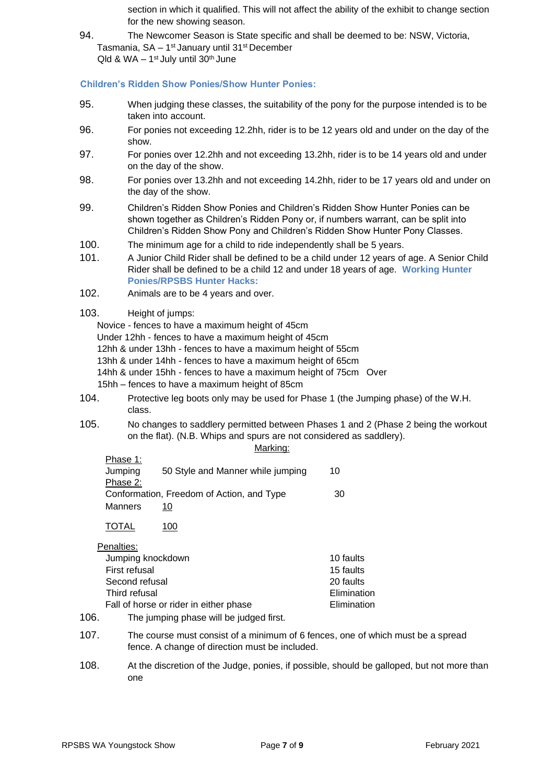section in which it qualified. This will not affect the ability of the exhibit to change section for the new showing season.

94. The Newcomer Season is State specific and shall be deemed to be: NSW, Victoria, Tasmania, SA – 1<sup>st</sup> January until 31<sup>st</sup> December  $Q$ ld & WA  $-$  1<sup>st</sup> July until 30<sup>th</sup> June

#### **Children's Ridden Show Ponies/Show Hunter Ponies:**

- 95. When judging these classes, the suitability of the pony for the purpose intended is to be taken into account.
- 96. For ponies not exceeding 12.2hh, rider is to be 12 years old and under on the day of the show.
- 97. For ponies over 12.2hh and not exceeding 13.2hh, rider is to be 14 years old and under on the day of the show.
- 98. For ponies over 13.2hh and not exceeding 14.2hh, rider to be 17 years old and under on the day of the show.
- 99. Children's Ridden Show Ponies and Children's Ridden Show Hunter Ponies can be shown together as Children's Ridden Pony or, if numbers warrant, can be split into Children's Ridden Show Pony and Children's Ridden Show Hunter Pony Classes.
- 100. The minimum age for a child to ride independently shall be 5 years.
- 101. A Junior Child Rider shall be defined to be a child under 12 years of age. A Senior Child Rider shall be defined to be a child 12 and under 18 years of age. **Working Hunter Ponies/RPSBS Hunter Hacks:**
- 102. Animals are to be 4 years and over.
- 103. Height of jumps:

Novice - fences to have a maximum height of 45cm

Under 12hh - fences to have a maximum height of 45cm

12hh & under 13hh - fences to have a maximum height of 55cm

13hh & under 14hh - fences to have a maximum height of 65cm

- 14hh & under 15hh fences to have a maximum height of 75cm Over
- 15hh fences to have a maximum height of 85cm
- 104. Protective leg boots only may be used for Phase 1 (the Jumping phase) of the W.H. class.
- 105. No changes to saddlery permitted between Phases 1 and 2 (Phase 2 being the workout on the flat). (N.B. Whips and spurs are not considered as saddlery). Marking:

|                                           | .                                 |    |
|-------------------------------------------|-----------------------------------|----|
| <u>Phase 1:</u>                           |                                   |    |
| Jumping                                   | 50 Style and Manner while jumping | 10 |
| Phase 2:                                  |                                   |    |
| Conformation, Freedom of Action, and Type |                                   | 30 |
| Manners                                   | 10                                |    |

TOTAL 100

Penalties:

|               | .                                       |             |
|---------------|-----------------------------------------|-------------|
|               | Jumping knockdown                       | 10 faults   |
| First refusal |                                         | 15 faults   |
|               | Second refusal                          | 20 faults   |
|               | Third refusal                           | Elimination |
|               | Fall of horse or rider in either phase  | Elimination |
| 106.          | The jumping phase will be judged first. |             |

- 107. The course must consist of a minimum of 6 fences, one of which must be a spread fence. A change of direction must be included.
- 108. At the discretion of the Judge, ponies, if possible, should be galloped, but not more than one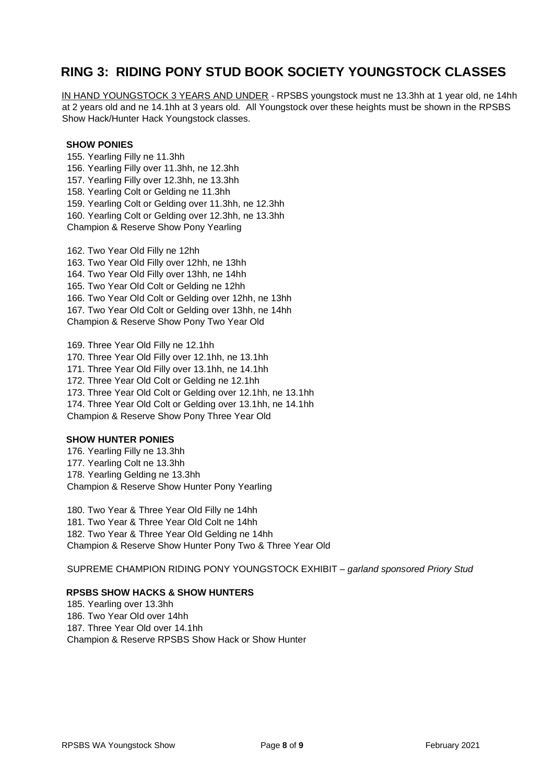## **RING 3: RIDING PONY STUD BOOK SOCIETY YOUNGSTOCK CLASSES**

IN HAND YOUNGSTOCK 3 YEARS AND UNDER - RPSBS youngstock must ne 13.3hh at 1 year old, ne 14hh at 2 years old and ne 14.1hh at 3 years old. All Youngstock over these heights must be shown in the RPSBS Show Hack/Hunter Hack Youngstock classes.

#### **SHOW PONIES**

155. Yearling Filly ne 11.3hh 156. Yearling Filly over 11.3hh, ne 12.3hh 157. Yearling Filly over 12.3hh, ne 13.3hh 158. Yearling Colt or Gelding ne 11.3hh 159. Yearling Colt or Gelding over 11.3hh, ne 12.3hh 160. Yearling Colt or Gelding over 12.3hh, ne 13.3hh Champion & Reserve Show Pony Yearling

162. Two Year Old Filly ne 12hh 163. Two Year Old Filly over 12hh, ne 13hh 164. Two Year Old Filly over 13hh, ne 14hh 165. Two Year Old Colt or Gelding ne 12hh 166. Two Year Old Colt or Gelding over 12hh, ne 13hh 167. Two Year Old Colt or Gelding over 13hh, ne 14hh Champion & Reserve Show Pony Two Year Old

169. Three Year Old Filly ne 12.1hh 170. Three Year Old Filly over 12.1hh, ne 13.1hh 171. Three Year Old Filly over 13.1hh, ne 14.1hh 172. Three Year Old Colt or Gelding ne 12.1hh 173. Three Year Old Colt or Gelding over 12.1hh, ne 13.1hh 174. Three Year Old Colt or Gelding over 13.1hh, ne 14.1hh Champion & Reserve Show Pony Three Year Old

#### **SHOW HUNTER PONIES**

176. Yearling Filly ne 13.3hh 177. Yearling Colt ne 13.3hh 178. Yearling Gelding ne 13.3hh Champion & Reserve Show Hunter Pony Yearling

180. Two Year & Three Year Old Filly ne 14hh 181. Two Year & Three Year Old Colt ne 14hh 182. Two Year & Three Year Old Gelding ne 14hh Champion & Reserve Show Hunter Pony Two & Three Year Old

SUPREME CHAMPION RIDING PONY YOUNGSTOCK EXHIBIT – *garland sponsored Priory Stud*

#### **RPSBS SHOW HACKS & SHOW HUNTERS**

185. Yearling over 13.3hh 186. Two Year Old over 14hh 187. Three Year Old over 14.1hh Champion & Reserve RPSBS Show Hack or Show Hunter